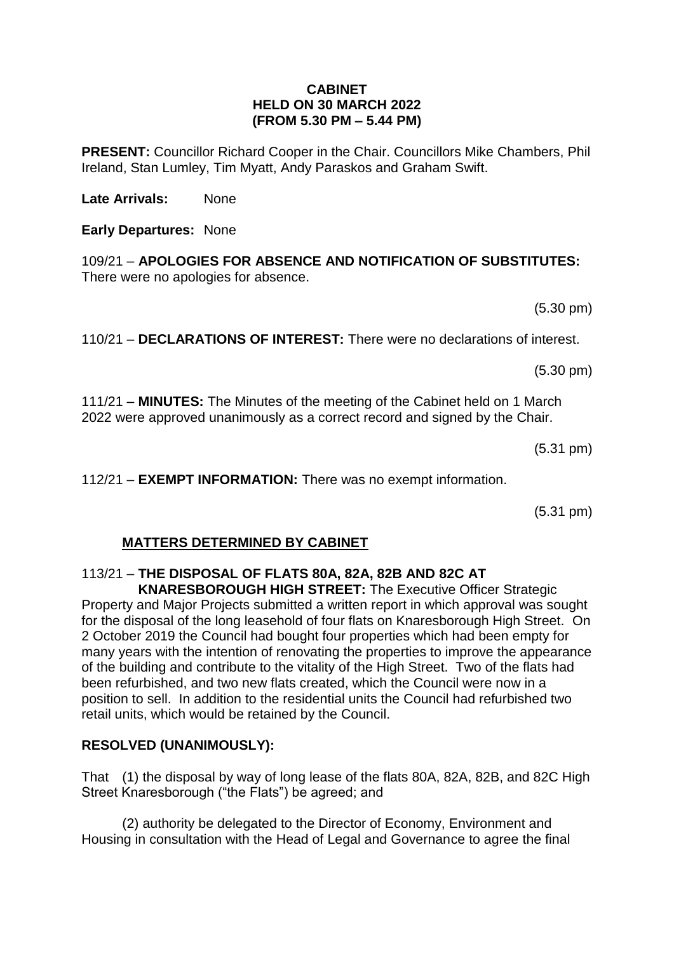#### **CABINET HELD ON 30 MARCH 2022 (FROM 5.30 PM – 5.44 PM)**

**PRESENT:** Councillor Richard Cooper in the Chair. Councillors Mike Chambers, Phil Ireland, Stan Lumley, Tim Myatt, Andy Paraskos and Graham Swift.

**Late Arrivals:** None

**Early Departures:** None

109/21 – **APOLOGIES FOR ABSENCE AND NOTIFICATION OF SUBSTITUTES:** There were no apologies for absence.

(5.30 pm)

(5.30 pm)

110/21 – **DECLARATIONS OF INTEREST:** There were no declarations of interest.

111/21 – **MINUTES:** The Minutes of the meeting of the Cabinet held on 1 March 2022 were approved unanimously as a correct record and signed by the Chair.

(5.31 pm)

112/21 – **EXEMPT INFORMATION:** There was no exempt information.

(5.31 pm)

## **MATTERS DETERMINED BY CABINET**

# 113/21 – **THE DISPOSAL OF FLATS 80A, 82A, 82B AND 82C AT**

 **KNARESBOROUGH HIGH STREET:** The Executive Officer Strategic Property and Major Projects submitted a written report in which approval was sought for the disposal of the long leasehold of four flats on Knaresborough High Street. On 2 October 2019 the Council had bought four properties which had been empty for many years with the intention of renovating the properties to improve the appearance of the building and contribute to the vitality of the High Street. Two of the flats had been refurbished, and two new flats created, which the Council were now in a position to sell. In addition to the residential units the Council had refurbished two retail units, which would be retained by the Council.

## **RESOLVED (UNANIMOUSLY):**

That (1) the disposal by way of long lease of the flats 80A, 82A, 82B, and 82C High Street Knaresborough ("the Flats") be agreed; and

(2) authority be delegated to the Director of Economy, Environment and Housing in consultation with the Head of Legal and Governance to agree the final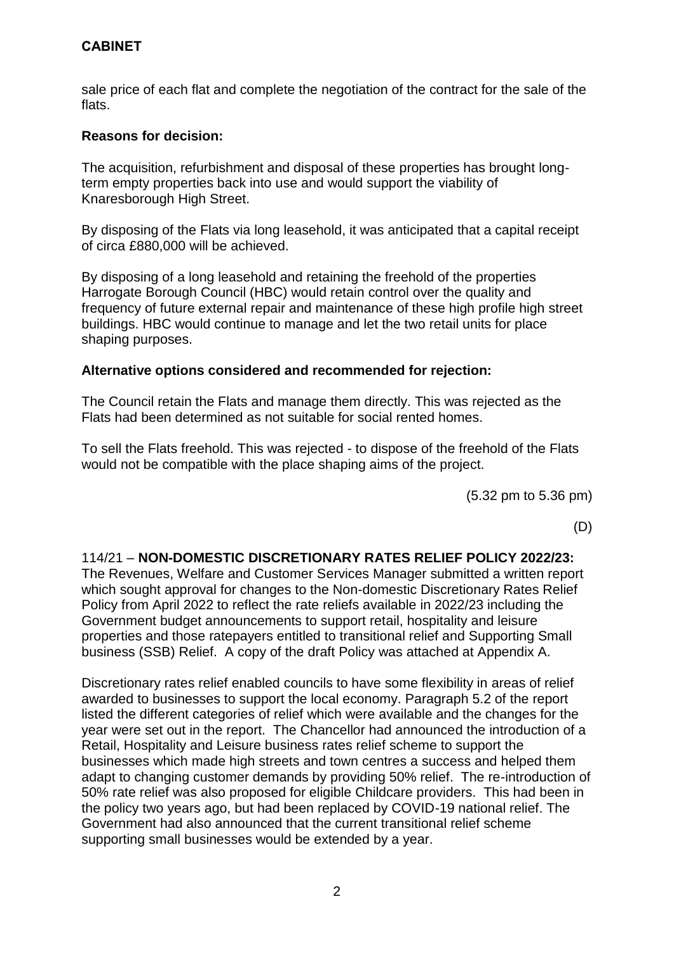# **CABINET**

sale price of each flat and complete the negotiation of the contract for the sale of the flats.

## **Reasons for decision:**

The acquisition, refurbishment and disposal of these properties has brought longterm empty properties back into use and would support the viability of Knaresborough High Street.

By disposing of the Flats via long leasehold, it was anticipated that a capital receipt of circa £880,000 will be achieved.

By disposing of a long leasehold and retaining the freehold of the properties Harrogate Borough Council (HBC) would retain control over the quality and frequency of future external repair and maintenance of these high profile high street buildings. HBC would continue to manage and let the two retail units for place shaping purposes.

## **Alternative options considered and recommended for rejection:**

The Council retain the Flats and manage them directly. This was rejected as the Flats had been determined as not suitable for social rented homes.

To sell the Flats freehold. This was rejected - to dispose of the freehold of the Flats would not be compatible with the place shaping aims of the project.

(5.32 pm to 5.36 pm)

(D)

# 114/21 – **NON-DOMESTIC DISCRETIONARY RATES RELIEF POLICY 2022/23:**

The Revenues, Welfare and Customer Services Manager submitted a written report which sought approval for changes to the Non-domestic Discretionary Rates Relief Policy from April 2022 to reflect the rate reliefs available in 2022/23 including the Government budget announcements to support retail, hospitality and leisure properties and those ratepayers entitled to transitional relief and Supporting Small business (SSB) Relief. A copy of the draft Policy was attached at Appendix A.

Discretionary rates relief enabled councils to have some flexibility in areas of relief awarded to businesses to support the local economy. Paragraph 5.2 of the report listed the different categories of relief which were available and the changes for the year were set out in the report. The Chancellor had announced the introduction of a Retail, Hospitality and Leisure business rates relief scheme to support the businesses which made high streets and town centres a success and helped them adapt to changing customer demands by providing 50% relief. The re-introduction of 50% rate relief was also proposed for eligible Childcare providers. This had been in the policy two years ago, but had been replaced by COVID-19 national relief. The Government had also announced that the current transitional relief scheme supporting small businesses would be extended by a year.